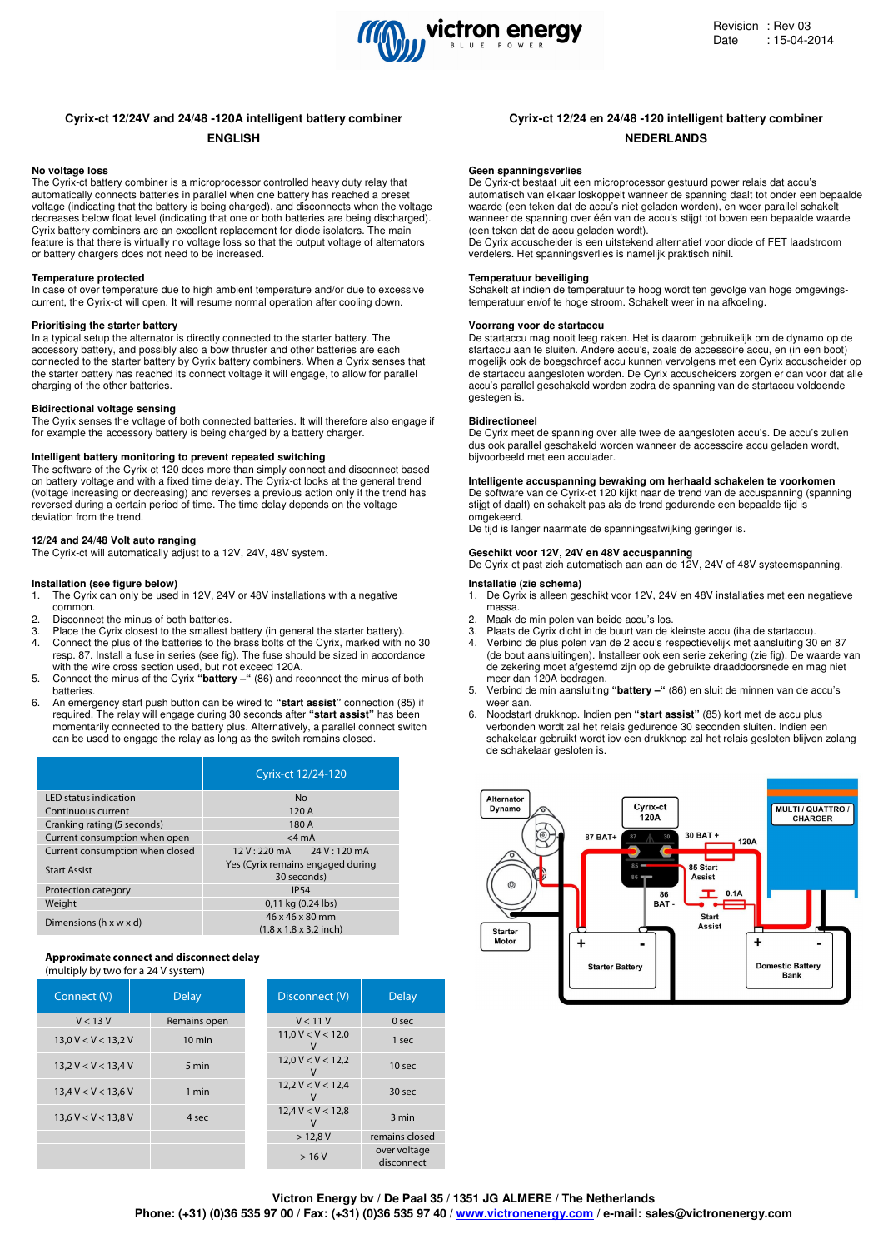

# **Cyrix-ct 12/24V and 24/48 -120A intelligent battery combiner Cyrix-ct 12/24 en 24/48 -120 intelligent battery combiner**

# **No voltage loss**

The Cyrix-ct battery combiner is a microprocessor controlled heavy duty relay that automatically connects batteries in parallel when one battery has reached a preset voltage (indicating that the battery is being charged), and disconnects when the voltage decreases below float level (indicating that one or both batteries are being discharged). Cyrix battery combiners are an excellent replacement for diode isolators. The main feature is that there is virtually no voltage loss so that the output voltage of alternators or battery chargers does not need to be increased.

#### **Temperature protected**

In case of over temperature due to high ambient temperature and/or due to excessive current, the Cyrix-ct will open. It will resume normal operation after cooling down.

#### **Prioritising the starter battery**

In a typical setup the alternator is directly connected to the starter battery. The accessory battery, and possibly also a bow thruster and other batteries are each connected to the starter battery by Cyrix battery combiners. When a Cyrix senses that the starter battery has reached its connect voltage it will engage, to allow for parallel charging of the other batteries.

## **Bidirectional voltage sensing**

The Cyrix senses the voltage of both connected batteries. It will therefore also engage if for example the accessory battery is being charged by a battery charger.

#### **Intelligent battery monitoring to prevent repeated switching**

The software of the Cyrix-ct 120 does more than simply connect and disconnect based on battery voltage and with a fixed time delay. The Cyrix-ct looks at the general trend (voltage increasing or decreasing) and reverses a previous action only if the trend has reversed during a certain period of time. The time delay depends on the voltage deviation from the trend.

### **12/24 and 24/48 Volt auto ranging**

The Cyrix-ct will automatically adjust to a 12V, 24V, 48V system.

#### **Installation (see figure below)**

- 1. The Cyrix can only be used in 12V, 24V or 48V installations with a negative common.
- 2. Disconnect the minus of both batteries.<br>2. Place the Curix closest to the smallest
- Place the Cyrix closest to the smallest battery (in general the starter battery).
- 4. Connect the plus of the batteries to the brass bolts of the Cyrix, marked with no 30 resp. 87. Install a fuse in series (see fig). The fuse should be sized in accordance with the wire cross section used, but not exceed 120A.
- 5. Connect the minus of the Cyrix **"battery –"** (86) and reconnect the minus of both batteries.
- 6. An emergency start push button can be wired to **"start assist"** connection (85) if required. The relay will engage during 30 seconds after **"start assist"** has been momentarily connected to the battery plus. Alternatively, a parallel connect switch can be used to engage the relay as long as the switch remains closed.

|                                 | Cyrix-ct 12/24-120                                            |  |  |
|---------------------------------|---------------------------------------------------------------|--|--|
| <b>LED</b> status indication    | No                                                            |  |  |
| Continuous current              | 120A                                                          |  |  |
| Cranking rating (5 seconds)     | 180 A                                                         |  |  |
| Current consumption when open   | $<$ 4 mA                                                      |  |  |
| Current consumption when closed | $12 \text{ V}$ : 220 mA $24 \text{ V}$ : 120 mA               |  |  |
| <b>Start Assist</b>             | Yes (Cyrix remains engaged during<br>30 seconds)              |  |  |
| Protection category             | <b>IP54</b>                                                   |  |  |
| Weight                          | 0,11 kg (0.24 lbs)                                            |  |  |
| Dimensions (h x w x d)          | 46 x 46 x 80 mm<br>$(1.8 \times 1.8 \times 3.2 \text{ inch})$ |  |  |

# **Approximate connect and disconnect delay**

(multiply by two for a 24 V system)

| Connect (V)           | <b>Delay</b>     | Disconnect (V)                     | <b>Delay</b>               |
|-----------------------|------------------|------------------------------------|----------------------------|
| V < 13V               | Remains open     | V < 11V                            | 0 <sub>sec</sub>           |
| 13,0 V < V < 13,2 V   | $10 \text{ min}$ | 11,0 V < V < 12,0                  | 1 sec                      |
| 13.2 V < V < 13.4 V   | 5 min            | $12,0 \text{ V} < \text{V} < 12,2$ | 10 <sub>sec</sub>          |
| 13.4 V < V < 13.6 V   | 1 min            | $12,2 \text{ V} < \text{V} < 12,4$ | 30 <sub>sec</sub>          |
| $13,6$ V < V < 13,8 V | 4 sec            | 12.4 V < V < 12.8                  | 3 min                      |
|                       |                  | $>12,8$ V                          | remains closed             |
|                       |                  | >16V                               | over voltage<br>disconnect |

# **ENGLISH NEDERLANDS**

#### **Geen spanningsverlies**

De Cyrix-ct bestaat uit een microprocessor gestuurd power relais dat accu's automatisch van elkaar loskoppelt wanneer de spanning daalt tot onder een bepaalde waarde (een teken dat de accu's niet geladen worden), en weer parallel schakelt wanneer de spanning over één van de accu's stijgt tot boven een bepaalde waarde (een teken dat de accu geladen wordt).

De Cyrix accuscheider is een uitstekend alternatief voor diode of FET laadstroom verdelers. Het spanningsverlies is namelijk praktisch nihil.

#### **Temperatuur beveiliging**

Schakelt af indien de temperatuur te hoog wordt ten gevolge van hoge omgevingstemperatuur en/of te hoge stroom. Schakelt weer in na afkoeling.

#### **Voorrang voor de startaccu**

De startaccu mag nooit leeg raken. Het is daarom gebruikelijk om de dynamo op de startaccu aan te sluiten. Andere accu's, zoals de accessoire accu, en (in een boot) mogelijk ook de boegschroef accu kunnen vervolgens met een Cyrix accuscheider op de startaccu aangesloten worden. De Cyrix accuscheiders zorgen er dan voor dat alle accu's parallel geschakeld worden zodra de spanning van de startaccu voldoende gestegen is.

#### **Bidirectioneel**

De Cyrix meet de spanning over alle twee de aangesloten accu's. De accu's zullen dus ook parallel geschakeld worden wanneer de accessoire accu geladen wordt, bijvoorbeeld met een acculader.

# **Intelligente accuspanning bewaking om herhaald schakelen te voorkomen**

De software van de Cyrix-ct 120 kijkt naar de trend van de accuspanning (spanning stijgt of daalt) en schakelt pas als de trend gedurende een bepaalde tijd is omgekeerd.

De tijd is langer naarmate de spanningsafwijking geringer is.

# **Geschikt voor 12V, 24V en 48V accuspanning**

De Cyrix-ct past zich automatisch aan aan de 12V, 24V of 48V systeemspanning.

# **Installatie (zie schema)**

- 1. De Cyrix is alleen geschikt voor 12V, 24V en 48V installaties met een negatieve massa.
- 2. Maak de min polen van beide accu's los.<br>3. Plaats de Cyrix dicht in de buurt van de k
- 3. Plaats de Cyrix dicht in de buurt van de kleinste accu (iha de startaccu). 4. Verbind de plus polen van de 2 accu's respectievelijk met aansluiting 30 en 87
- (de bout aansluitingen). Installeer ook een serie zekering (zie fig). De waarde van de zekering moet afgestemd zijn op de gebruikte draaddoorsnede en mag niet meer dan 120A bedragen.
- 5. Verbind de min aansluiting **"battery –"** (86) en sluit de minnen van de accu's weer aan.
- 6. Noodstart drukknop. Indien pen **"start assist"** (85) kort met de accu plus verbonden wordt zal het relais gedurende 30 seconden sluiten. Indien een schakelaar gebruikt wordt ipv een drukknop zal het relais gesloten blijven zolang de schakelaar gesloten is.